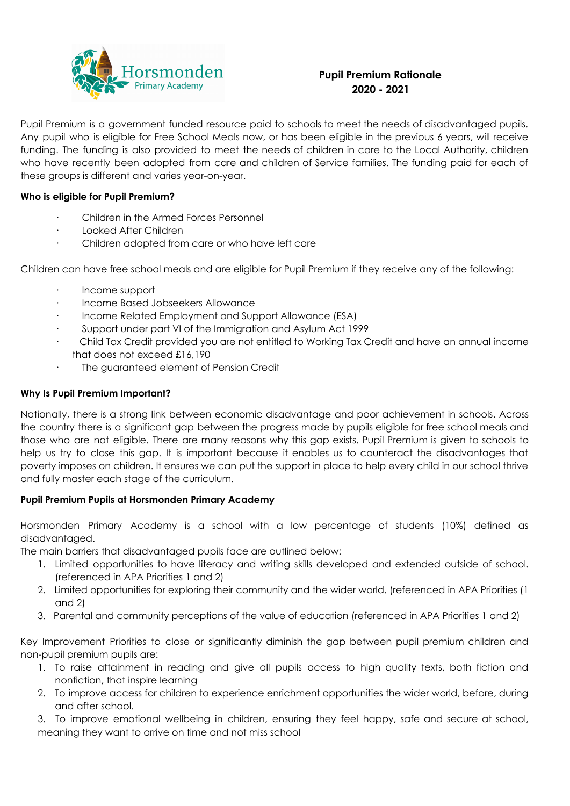

## **Pupil Premium Rationale 2020 - 2021**

Pupil Premium is a government funded resource paid to schools to meet the needs of disadvantaged pupils. Any pupil who is eligible for Free School Meals now, or has been eligible in the previous 6 years, will receive funding. The funding is also provided to meet the needs of children in care to the Local Authority, children who have recently been adopted from care and children of Service families. The funding paid for each of these groups is different and varies year-on-year.

### **Who is eligible for Pupil Premium?**

- · Children in the Armed Forces Personnel
- · Looked After Children
- · Children adopted from care or who have left care

Children can have free school meals and are eligible for Pupil Premium if they receive any of the following:

- · Income support
- · Income Based Jobseekers Allowance
- Income Related Employment and Support Allowance (ESA)
- · Support under part VI of the Immigration and Asylum Act 1999
- · Child Tax Credit provided you are not entitled to Working Tax Credit and have an annual income that does not exceed £16,190
- · The guaranteed element of Pension Credit

## **Why Is Pupil Premium Important?**

Nationally, there is a strong link between economic disadvantage and poor achievement in schools. Across the country there is a significant gap between the progress made by pupils eligible for free school meals and those who are not eligible. There are many reasons why this gap exists. Pupil Premium is given to schools to help us try to close this gap. It is important because it enables us to counteract the disadvantages that poverty imposes on children. It ensures we can put the support in place to help every child in our school thrive and fully master each stage of the curriculum.

## **Pupil Premium Pupils at Horsmonden Primary Academy**

Horsmonden Primary Academy is a school with a low percentage of students (10%) defined as disadvantaged.

The main barriers that disadvantaged pupils face are outlined below:

- 1. Limited opportunities to have literacy and writing skills developed and extended outside of school. (referenced in APA Priorities 1 and 2)
- 2. Limited opportunities for exploring their community and the wider world. (referenced in APA Priorities (1 and 2)
- 3. Parental and community perceptions of the value of education (referenced in APA Priorities 1 and 2)

Key Improvement Priorities to close or significantly diminish the gap between pupil premium children and non-pupil premium pupils are:

- 1. To raise attainment in reading and give all pupils access to high quality texts, both fiction and nonfiction, that inspire learning
- 2. To improve access for children to experience enrichment opportunities the wider world, before, during and after school.

3. To improve emotional wellbeing in children, ensuring they feel happy, safe and secure at school, meaning they want to arrive on time and not miss school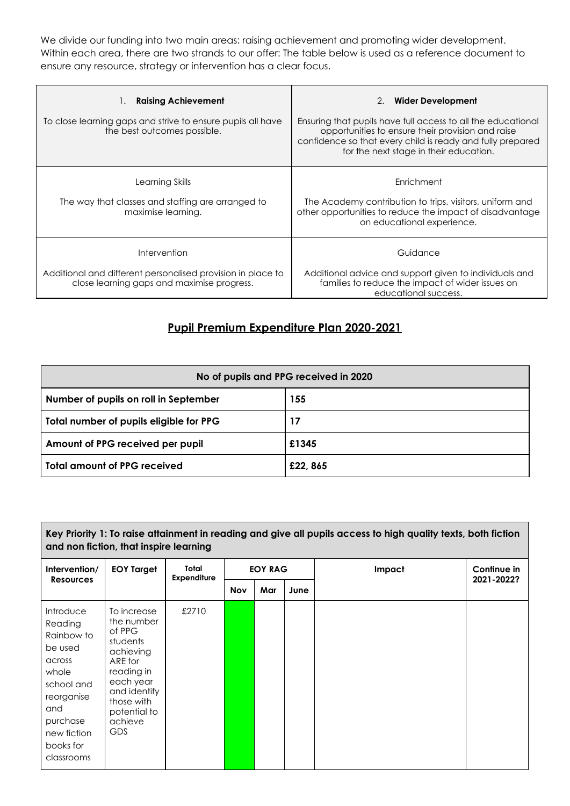We divide our funding into two main areas: raising achievement and promoting wider development. Within each area, there are two strands to our offer: The table below is used as a reference document to ensure any resource, strategy or intervention has a clear focus.

| <b>Raising Achievement</b>                                                                 | Wider Development<br>2.                                                                                                                                                                                                   |
|--------------------------------------------------------------------------------------------|---------------------------------------------------------------------------------------------------------------------------------------------------------------------------------------------------------------------------|
| To close learning gaps and strive to ensure pupils all have<br>the best outcomes possible. | Ensuring that pupils have full access to all the educational<br>opportunities to ensure their provision and raise<br>confidence so that every child is ready and fully prepared<br>for the next stage in their education. |
| Learning Skills<br>The way that classes and staffing are arranged to<br>maximise learning. | Enrichment<br>The Academy contribution to trips, visitors, uniform and<br>other opportunities to reduce the impact of disadvantage<br>on educational experience.                                                          |
| Intervention<br>Additional and different personalised provision in place to                | Guidance<br>Additional advice and support given to individuals and                                                                                                                                                        |
| close learning gaps and maximise progress.                                                 | families to reduce the impact of wider issues on<br>educational success.                                                                                                                                                  |

# **Pupil Premium Expenditure Plan 2020-2021**

| No of pupils and PPG received in 2020   |         |  |  |  |  |
|-----------------------------------------|---------|--|--|--|--|
| Number of pupils on roll in September   | 155     |  |  |  |  |
| Total number of pupils eligible for PPG | 17      |  |  |  |  |
| Amount of PPG received per pupil        | £1345   |  |  |  |  |
| <b>Total amount of PPG received</b>     | £22,865 |  |  |  |  |

| Key Priority 1: To raise attainment in reading and give all pupils access to high quality texts, both fiction |
|---------------------------------------------------------------------------------------------------------------|
| and non fiction, that inspire learning                                                                        |

| Intervention/<br><b>Resources</b>                                                                                                                         | <b>EOY Target</b>                                                                                                                                                         | Total<br><b>Expenditure</b> | <b>EOY RAG</b> |     | Impact |  | Continue in<br>2021-2022? |
|-----------------------------------------------------------------------------------------------------------------------------------------------------------|---------------------------------------------------------------------------------------------------------------------------------------------------------------------------|-----------------------------|----------------|-----|--------|--|---------------------------|
|                                                                                                                                                           |                                                                                                                                                                           |                             | <b>Nov</b>     | Mar | June   |  |                           |
| Introduce<br>Reading<br>Rainbow to<br>be used<br>across<br>whole<br>school and<br>reorganise<br>and<br>purchase<br>new fiction<br>books for<br>classrooms | To increase<br>the number<br>of PPG<br>students<br>achieving<br>ARE for<br>reading in<br>each year<br>and identify<br>those with<br>potential to<br>achieve<br><b>GDS</b> | £2710                       |                |     |        |  |                           |